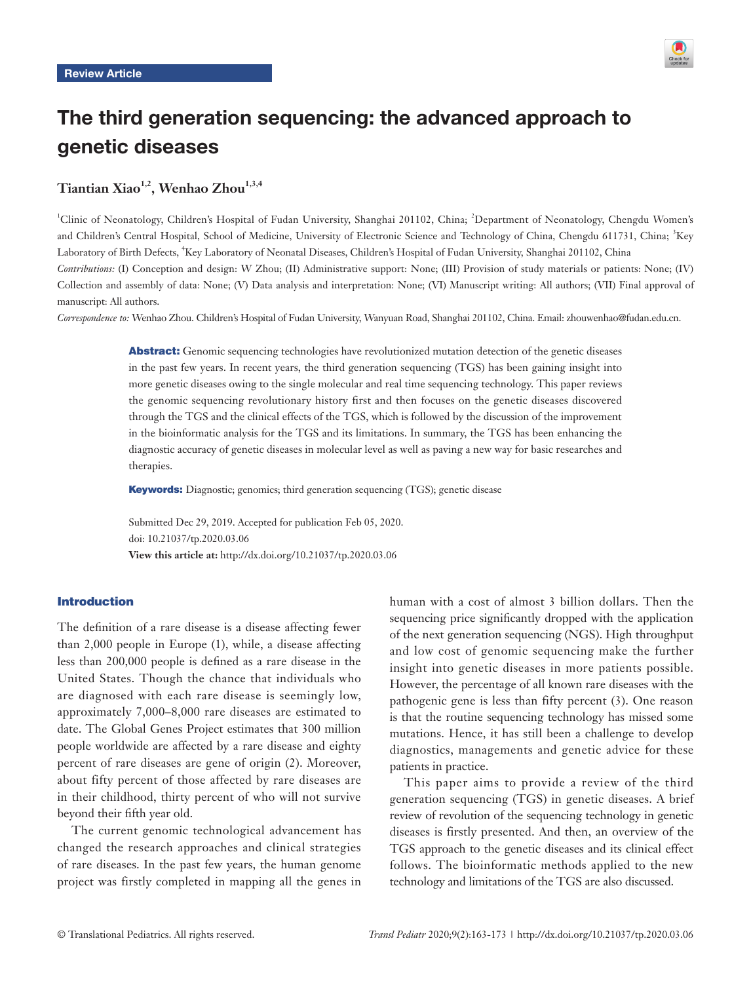

# The third generation sequencing: the advanced approach to genetic diseases

## Tiantian Xiao<sup>1,2</sup>, Wenhao Zhou<sup>1,3,4</sup>

<sup>1</sup>Clinic of Neonatology, Children's Hospital of Fudan University, Shanghai 201102, China; <sup>2</sup>Department of Neonatology, Chengdu Women's and Children's Central Hospital, School of Medicine, University of Electronic Science and Technology of China, Chengdu 611731, China; <sup>3</sup>Key Laboratory of Birth Defects, <sup>4</sup> Key Laboratory of Neonatal Diseases, Children's Hospital of Fudan University, Shanghai 201102, China *Contributions:* (I) Conception and design: W Zhou; (II) Administrative support: None; (III) Provision of study materials or patients: None; (IV) Collection and assembly of data: None; (V) Data analysis and interpretation: None; (VI) Manuscript writing: All authors; (VII) Final approval of manuscript: All authors.

*Correspondence to:* Wenhao Zhou. Children's Hospital of Fudan University, Wanyuan Road, Shanghai 201102, China. Email: zhouwenhao@fudan.edu.cn.

Abstract: Genomic sequencing technologies have revolutionized mutation detection of the genetic diseases in the past few years. In recent years, the third generation sequencing (TGS) has been gaining insight into more genetic diseases owing to the single molecular and real time sequencing technology. This paper reviews the genomic sequencing revolutionary history first and then focuses on the genetic diseases discovered through the TGS and the clinical effects of the TGS, which is followed by the discussion of the improvement in the bioinformatic analysis for the TGS and its limitations. In summary, the TGS has been enhancing the diagnostic accuracy of genetic diseases in molecular level as well as paving a new way for basic researches and therapies.

Keywords: Diagnostic; genomics; third generation sequencing (TGS); genetic disease

Submitted Dec 29, 2019. Accepted for publication Feb 05, 2020. doi: 10.21037/tp.2020.03.06 **View this article at:** http://dx.doi.org/10.21037/tp.2020.03.06

#### Introduction

The definition of a rare disease is a disease affecting fewer than 2,000 people in Europe (1), while, a disease affecting less than 200,000 people is defined as a rare disease in the United States. Though the chance that individuals who are diagnosed with each rare disease is seemingly low, approximately 7,000–8,000 rare diseases are estimated to date. The Global Genes Project estimates that 300 million people worldwide are affected by a rare disease and eighty percent of rare diseases are gene of origin (2). Moreover, about fifty percent of those affected by rare diseases are in their childhood, thirty percent of who will not survive beyond their fifth year old.

The current genomic technological advancement has changed the research approaches and clinical strategies of rare diseases. In the past few years, the human genome project was firstly completed in mapping all the genes in

human with a cost of almost 3 billion dollars. Then the sequencing price significantly dropped with the application of the next generation sequencing (NGS). High throughput and low cost of genomic sequencing make the further insight into genetic diseases in more patients possible. However, the percentage of all known rare diseases with the pathogenic gene is less than fifty percent (3). One reason is that the routine sequencing technology has missed some mutations. Hence, it has still been a challenge to develop diagnostics, managements and genetic advice for these patients in practice.

This paper aims to provide a review of the third generation sequencing (TGS) in genetic diseases. A brief review of revolution of the sequencing technology in genetic diseases is firstly presented. And then, an overview of the TGS approach to the genetic diseases and its clinical effect follows. The bioinformatic methods applied to the new technology and limitations of the TGS are also discussed.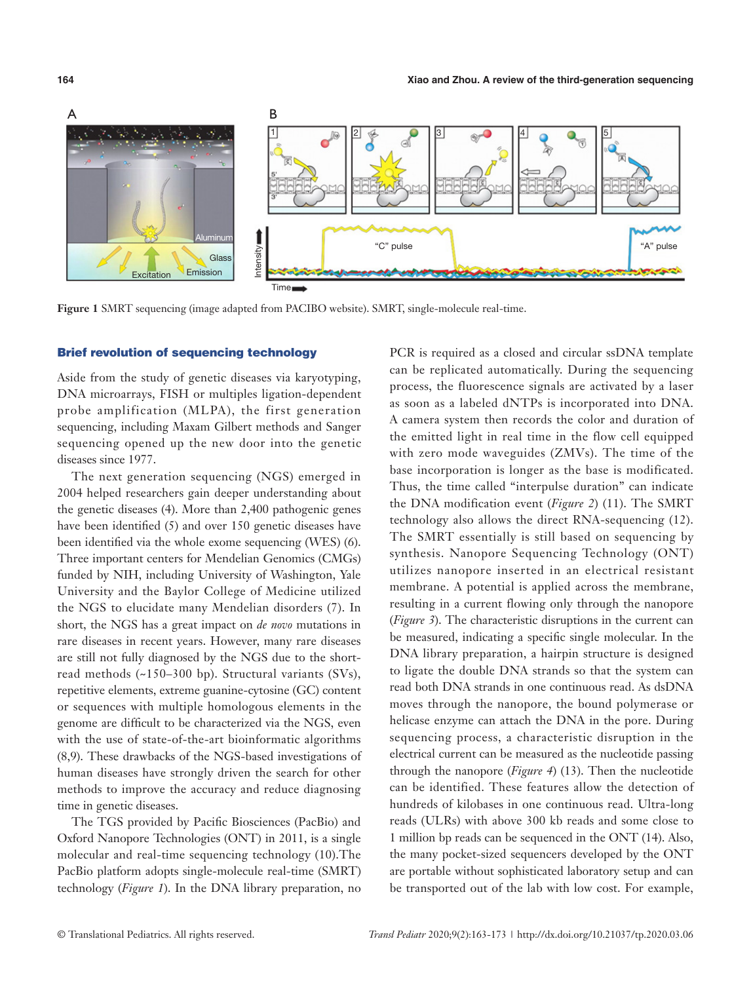

**Figure 1** SMRT sequencing (image adapted from PACIBO website). SMRT, single-molecule real-time.

#### Brief revolution of sequencing technology

Aside from the study of genetic diseases via karyotyping, DNA microarrays, FISH or multiples ligation-dependent probe amplification (MLPA), the first generation sequencing, including Maxam Gilbert methods and Sanger sequencing opened up the new door into the genetic diseases since 1977.

The next generation sequencing (NGS) emerged in 2004 helped researchers gain deeper understanding about the genetic diseases (4). More than 2,400 pathogenic genes have been identified (5) and over 150 genetic diseases have been identified via the whole exome sequencing (WES) (6). Three important centers for Mendelian Genomics (CMGs) funded by NIH, including University of Washington, Yale University and the Baylor College of Medicine utilized the NGS to elucidate many Mendelian disorders (7). In short, the NGS has a great impact on *de novo* mutations in rare diseases in recent years. However, many rare diseases are still not fully diagnosed by the NGS due to the shortread methods (~150–300 bp). Structural variants (SVs), repetitive elements, extreme guanine-cytosine (GC) content or sequences with multiple homologous elements in the genome are difficult to be characterized via the NGS, even with the use of state-of-the-art bioinformatic algorithms (8,9). These drawbacks of the NGS-based investigations of human diseases have strongly driven the search for other methods to improve the accuracy and reduce diagnosing time in genetic diseases.

The TGS provided by Pacific Biosciences (PacBio) and Oxford Nanopore Technologies (ONT) in 2011, is a single molecular and real-time sequencing technology (10).The PacBio platform adopts single-molecule real-time (SMRT) technology (*Figure 1*). In the DNA library preparation, no

PCR is required as a closed and circular ssDNA template can be replicated automatically. During the sequencing process, the fluorescence signals are activated by a laser as soon as a labeled dNTPs is incorporated into DNA. A camera system then records the color and duration of the emitted light in real time in the flow cell equipped with zero mode waveguides (ZMVs). The time of the base incorporation is longer as the base is modificated. Thus, the time called "interpulse duration" can indicate the DNA modification event (*Figure 2*) (11). The SMRT technology also allows the direct RNA-sequencing (12). The SMRT essentially is still based on sequencing by synthesis. Nanopore Sequencing Technology (ONT) utilizes nanopore inserted in an electrical resistant membrane. A potential is applied across the membrane, resulting in a current flowing only through the nanopore (*Figure 3*). The characteristic disruptions in the current can be measured, indicating a specific single molecular. In the DNA library preparation, a hairpin structure is designed to ligate the double DNA strands so that the system can read both DNA strands in one continuous read. As dsDNA moves through the nanopore, the bound polymerase or helicase enzyme can attach the DNA in the pore. During sequencing process, a characteristic disruption in the electrical current can be measured as the nucleotide passing through the nanopore (*Figure 4*) (13). Then the nucleotide can be identified. These features allow the detection of hundreds of kilobases in one continuous read. Ultra-long reads (ULRs) with above 300 kb reads and some close to 1 million bp reads can be sequenced in the ONT (14). Also, the many pocket-sized sequencers developed by the ONT are portable without sophisticated laboratory setup and can be transported out of the lab with low cost. For example,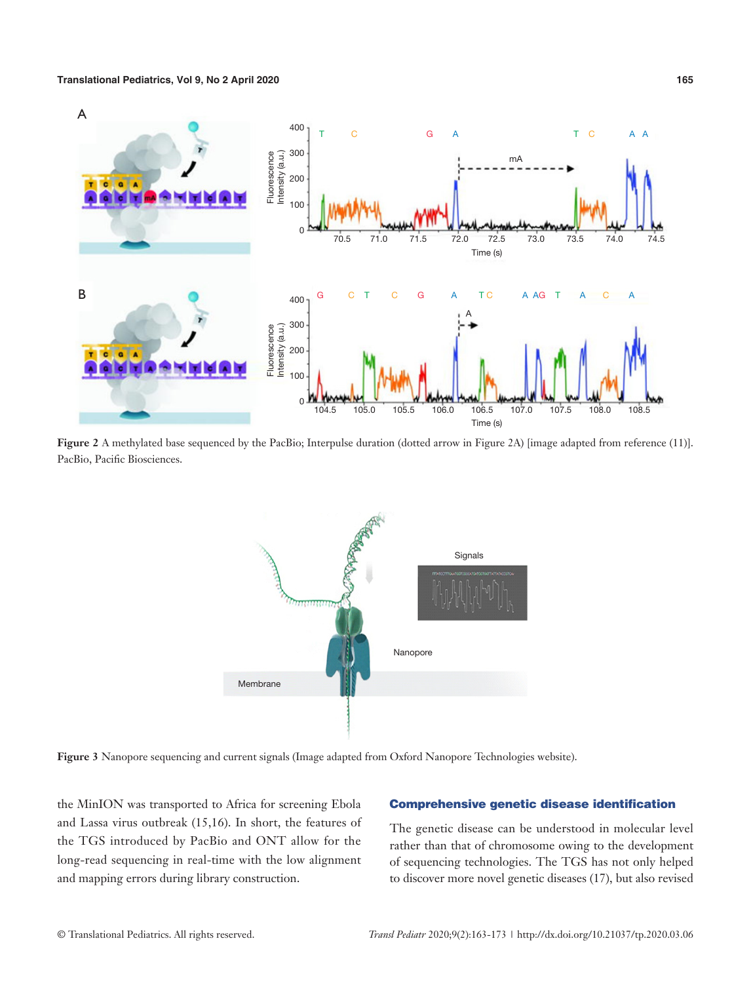

**Figure 2** A methylated base sequenced by the PacBio; Interpulse duration (dotted arrow in Figure 2A) [image adapted from reference (11)]. PacBio, Pacific Biosciences.



**Figure 3** Nanopore sequencing and current signals (Image adapted from Oxford Nanopore Technologies website).

the MinION was transported to Africa for screening Ebola and Lassa virus outbreak (15,16). In short, the features of the TGS introduced by PacBio and ONT allow for the long-read sequencing in real-time with the low alignment and mapping errors during library construction.

#### Comprehensive genetic disease identification

The genetic disease can be understood in molecular level rather than that of chromosome owing to the development of sequencing technologies. The TGS has not only helped to discover more novel genetic diseases (17), but also revised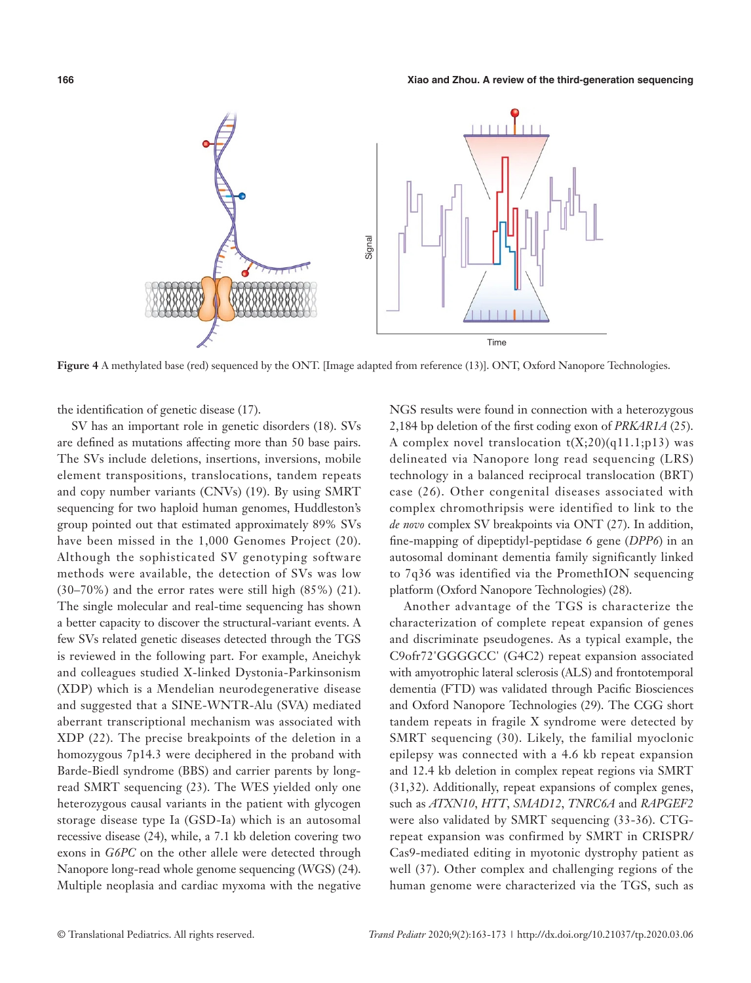

**Figure 4** A methylated base (red) sequenced by the ONT. [Image adapted from reference (13)]. ONT, Oxford Nanopore Technologies.

the identification of genetic disease (17).

SV has an important role in genetic disorders (18). SVs are defined as mutations affecting more than 50 base pairs. The SVs include deletions, insertions, inversions, mobile element transpositions, translocations, tandem repeats and copy number variants (CNVs) (19). By using SMRT sequencing for two haploid human genomes, Huddleston's group pointed out that estimated approximately 89% SVs have been missed in the 1,000 Genomes Project (20). Although the sophisticated SV genotyping software methods were available, the detection of SVs was low (30–70%) and the error rates were still high (85%) (21). The single molecular and real-time sequencing has shown a better capacity to discover the structural-variant events. A few SVs related genetic diseases detected through the TGS is reviewed in the following part. For example, Aneichyk and colleagues studied X-linked Dystonia-Parkinsonism (XDP) which is a Mendelian neurodegenerative disease and suggested that a SINE-WNTR-Alu (SVA) mediated aberrant transcriptional mechanism was associated with XDP (22). The precise breakpoints of the deletion in a homozygous 7p14.3 were deciphered in the proband with Barde-Biedl syndrome (BBS) and carrier parents by longread SMRT sequencing (23). The WES yielded only one heterozygous causal variants in the patient with glycogen storage disease type Ia (GSD-Ia) which is an autosomal recessive disease (24), while, a 7.1 kb deletion covering two exons in *G6PC* on the other allele were detected through Nanopore long-read whole genome sequencing (WGS) (24). Multiple neoplasia and cardiac myxoma with the negative

NGS results were found in connection with a heterozygous 2,184 bp deletion of the first coding exon of *PRKAR1A* (25). A complex novel translocation  $t(X;20)(q11.1;p13)$  was delineated via Nanopore long read sequencing (LRS) technology in a balanced reciprocal translocation (BRT) case (26). Other congenital diseases associated with complex chromothripsis were identified to link to the *de novo* complex SV breakpoints via ONT (27). In addition, fine-mapping of dipeptidyl-peptidase 6 gene (*DPP6*) in an autosomal dominant dementia family significantly linked to 7q36 was identified via the PromethION sequencing platform (Oxford Nanopore Technologies) (28).

Another advantage of the TGS is characterize the characterization of complete repeat expansion of genes and discriminate pseudogenes. As a typical example, the C9ofr72'GGGGCC' (G4C2) repeat expansion associated with amyotrophic lateral sclerosis (ALS) and frontotemporal dementia (FTD) was validated through Pacific Biosciences and Oxford Nanopore Technologies (29). The CGG short tandem repeats in fragile X syndrome were detected by SMRT sequencing (30). Likely, the familial myoclonic epilepsy was connected with a 4.6 kb repeat expansion and 12.4 kb deletion in complex repeat regions via SMRT (31,32). Additionally, repeat expansions of complex genes, such as *ATXN10*, *HTT*, *SMAD12*, *TNRC6A* and *RAPGEF2* were also validated by SMRT sequencing (33-36). CTGrepeat expansion was confirmed by SMRT in CRISPR/ Cas9-mediated editing in myotonic dystrophy patient as well (37). Other complex and challenging regions of the human genome were characterized via the TGS, such as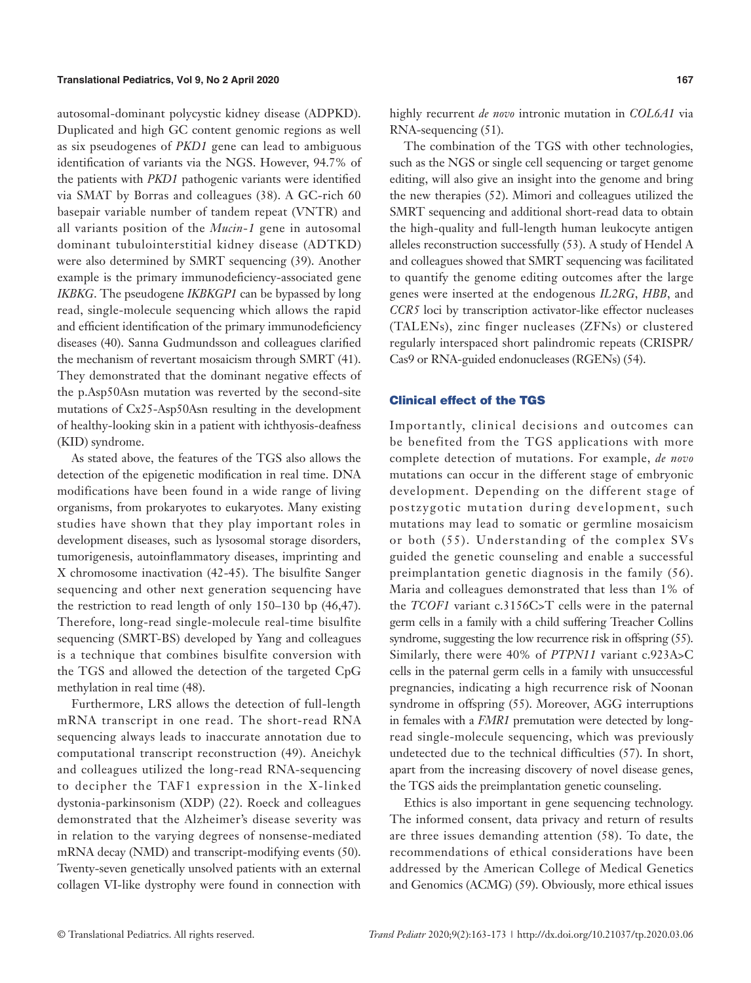autosomal-dominant polycystic kidney disease (ADPKD). Duplicated and high GC content genomic regions as well as six pseudogenes of *PKD1* gene can lead to ambiguous identification of variants via the NGS. However, 94.7% of the patients with *PKD1* pathogenic variants were identified via SMAT by Borras and colleagues (38). A GC-rich 60 basepair variable number of tandem repeat (VNTR) and all variants position of the *Mucin*-*1* gene in autosomal dominant tubulointerstitial kidney disease (ADTKD) were also determined by SMRT sequencing (39). Another example is the primary immunodeficiency-associated gene *IKBKG*. The pseudogene *IKBKGP1* can be bypassed by long read, single-molecule sequencing which allows the rapid and efficient identification of the primary immunodeficiency diseases (40). Sanna Gudmundsson and colleagues clarified the mechanism of revertant mosaicism through SMRT (41). They demonstrated that the dominant negative effects of the p.Asp50Asn mutation was reverted by the second-site mutations of Cx25-Asp50Asn resulting in the development of healthy-looking skin in a patient with ichthyosis-deafness (KID) syndrome.

As stated above, the features of the TGS also allows the detection of the epigenetic modification in real time. DNA modifications have been found in a wide range of living organisms, from prokaryotes to eukaryotes. Many existing studies have shown that they play important roles in development diseases, such as lysosomal storage disorders, tumorigenesis, autoinflammatory diseases, imprinting and X chromosome inactivation (42-45). The bisulfite Sanger sequencing and other next generation sequencing have the restriction to read length of only 150–130 bp (46,47). Therefore, long-read single-molecule real-time bisulfite sequencing (SMRT-BS) developed by Yang and colleagues is a technique that combines bisulfite conversion with the TGS and allowed the detection of the targeted CpG methylation in real time (48).

Furthermore, LRS allows the detection of full-length mRNA transcript in one read. The short-read RNA sequencing always leads to inaccurate annotation due to computational transcript reconstruction (49). Aneichyk and colleagues utilized the long-read RNA-sequencing to decipher the TAF1 expression in the X-linked dystonia-parkinsonism (XDP) (22). Roeck and colleagues demonstrated that the Alzheimer's disease severity was in relation to the varying degrees of nonsense-mediated mRNA decay (NMD) and transcript-modifying events (50). Twenty-seven genetically unsolved patients with an external collagen VI-like dystrophy were found in connection with highly recurrent *de novo* intronic mutation in *COL6A1* via RNA-sequencing (51).

The combination of the TGS with other technologies, such as the NGS or single cell sequencing or target genome editing, will also give an insight into the genome and bring the new therapies (52). Mimori and colleagues utilized the SMRT sequencing and additional short-read data to obtain the high-quality and full-length human leukocyte antigen alleles reconstruction successfully (53). A study of Hendel A and colleagues showed that SMRT sequencing was facilitated to quantify the genome editing outcomes after the large genes were inserted at the endogenous *IL2RG*, *HBB*, and *CCR5* loci by transcription activator-like effector nucleases (TALENs), zinc finger nucleases (ZFNs) or clustered regularly interspaced short palindromic repeats (CRISPR/ Cas9 or RNA-guided endonucleases (RGENs) (54).

#### Clinical effect of the TGS

Importantly, clinical decisions and outcomes can be benefited from the TGS applications with more complete detection of mutations. For example, *de novo*  mutations can occur in the different stage of embryonic development. Depending on the different stage of postzygotic mutation during development, such mutations may lead to somatic or germline mosaicism or both (55). Understanding of the complex SVs guided the genetic counseling and enable a successful preimplantation genetic diagnosis in the family (56). Maria and colleagues demonstrated that less than 1% of the *TCOF1* variant c.3156C>T cells were in the paternal germ cells in a family with a child suffering Treacher Collins syndrome, suggesting the low recurrence risk in offspring (55). Similarly, there were 40% of *PTPN11* variant c.923A>C cells in the paternal germ cells in a family with unsuccessful pregnancies, indicating a high recurrence risk of Noonan syndrome in offspring (55). Moreover, AGG interruptions in females with a *FMR1* premutation were detected by longread single-molecule sequencing, which was previously undetected due to the technical difficulties (57). In short, apart from the increasing discovery of novel disease genes, the TGS aids the preimplantation genetic counseling.

Ethics is also important in gene sequencing technology. The informed consent, data privacy and return of results are three issues demanding attention (58). To date, the recommendations of ethical considerations have been addressed by the American College of Medical Genetics and Genomics (ACMG) (59). Obviously, more ethical issues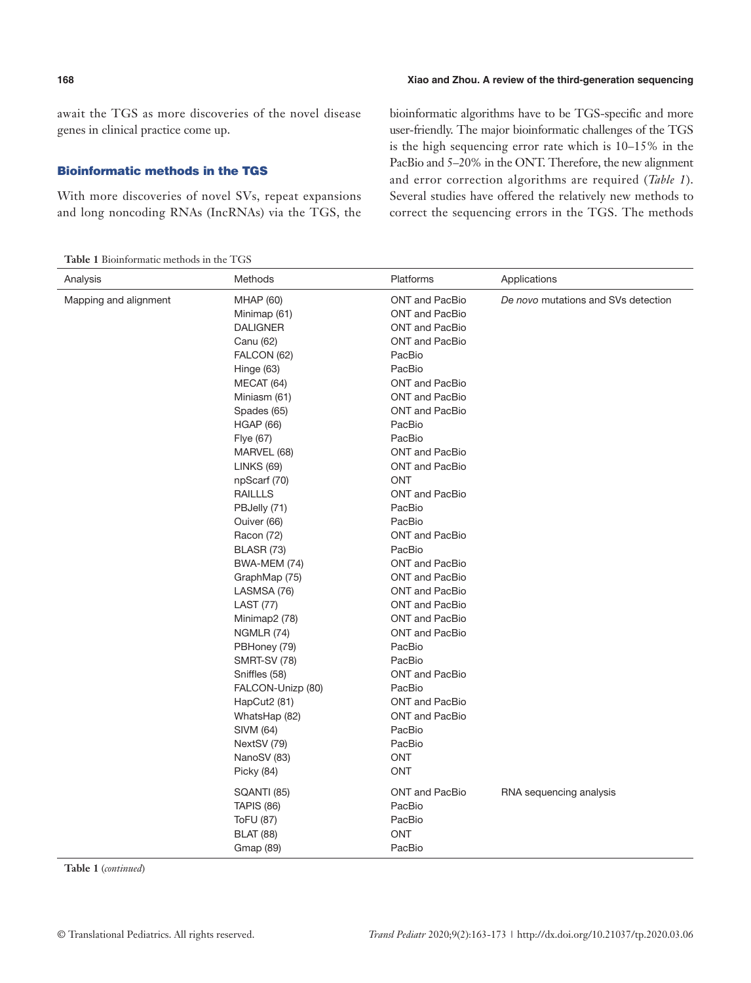await the TGS as more discoveries of the novel disease genes in clinical practice come up.

#### Bioinformatic methods in the TGS

With more discoveries of novel SVs, repeat expansions and long noncoding RNAs (IncRNAs) via the TGS, the

**Table 1** Bioinformatic methods in the TGS

bioinformatic algorithms have to be TGS-specific and more user-friendly. The major bioinformatic challenges of the TGS is the high sequencing error rate which is 10–15% in the PacBio and 5–20% in the ONT. Therefore, the new alignment and error correction algorithms are required (*Table 1*). Several studies have offered the relatively new methods to correct the sequencing errors in the TGS. The methods

| Analysis              | Methods             | Platforms             | Applications                        |
|-----------------------|---------------------|-----------------------|-------------------------------------|
| Mapping and alignment | <b>MHAP (60)</b>    | <b>ONT and PacBio</b> | De novo mutations and SVs detection |
|                       | Minimap (61)        | <b>ONT and PacBio</b> |                                     |
|                       | <b>DALIGNER</b>     | <b>ONT and PacBio</b> |                                     |
|                       | Canu (62)           | <b>ONT and PacBio</b> |                                     |
|                       | FALCON (62)         | PacBio                |                                     |
|                       | Hinge (63)          | PacBio                |                                     |
|                       | MECAT (64)          | <b>ONT</b> and PacBio |                                     |
|                       | Miniasm (61)        | <b>ONT and PacBio</b> |                                     |
|                       | Spades (65)         | <b>ONT and PacBio</b> |                                     |
|                       | <b>HGAP (66)</b>    | PacBio                |                                     |
|                       | Flye (67)           | PacBio                |                                     |
|                       | MARVEL (68)         | <b>ONT and PacBio</b> |                                     |
|                       | <b>LINKS (69)</b>   | <b>ONT and PacBio</b> |                                     |
|                       | npScarf (70)        | <b>ONT</b>            |                                     |
|                       | <b>RAILLLS</b>      | <b>ONT and PacBio</b> |                                     |
|                       | PBJelly (71)        | PacBio                |                                     |
|                       | Ouiver (66)         | PacBio                |                                     |
|                       | Racon (72)          | <b>ONT and PacBio</b> |                                     |
|                       | BLASR (73)          | PacBio                |                                     |
|                       | BWA-MEM (74)        | <b>ONT</b> and PacBio |                                     |
|                       | GraphMap (75)       | <b>ONT and PacBio</b> |                                     |
|                       | LASMSA (76)         | <b>ONT and PacBio</b> |                                     |
|                       | <b>LAST (77)</b>    | <b>ONT and PacBio</b> |                                     |
|                       | Minimap2 (78)       | <b>ONT and PacBio</b> |                                     |
|                       | <b>NGMLR (74)</b>   | <b>ONT and PacBio</b> |                                     |
|                       | PBHoney (79)        | PacBio                |                                     |
|                       | <b>SMRT-SV (78)</b> | PacBio                |                                     |
|                       | Sniffles (58)       | <b>ONT and PacBio</b> |                                     |
|                       | FALCON-Unizp (80)   | PacBio                |                                     |
|                       | HapCut2 (81)        | <b>ONT and PacBio</b> |                                     |
|                       | WhatsHap (82)       | <b>ONT and PacBio</b> |                                     |
|                       | SIVM (64)           | PacBio                |                                     |
|                       | NextSV (79)         | PacBio                |                                     |
|                       | NanoSV (83)         | <b>ONT</b>            |                                     |
|                       | Picky (84)          | <b>ONT</b>            |                                     |
|                       | SQANTI (85)         | <b>ONT and PacBio</b> | RNA sequencing analysis             |
|                       | <b>TAPIS (86)</b>   | PacBio                |                                     |
|                       | <b>ToFU (87)</b>    | PacBio                |                                     |
|                       | <b>BLAT (88)</b>    | ONT                   |                                     |
|                       | Gmap (89)           | PacBio                |                                     |

**Table 1** (*continued*)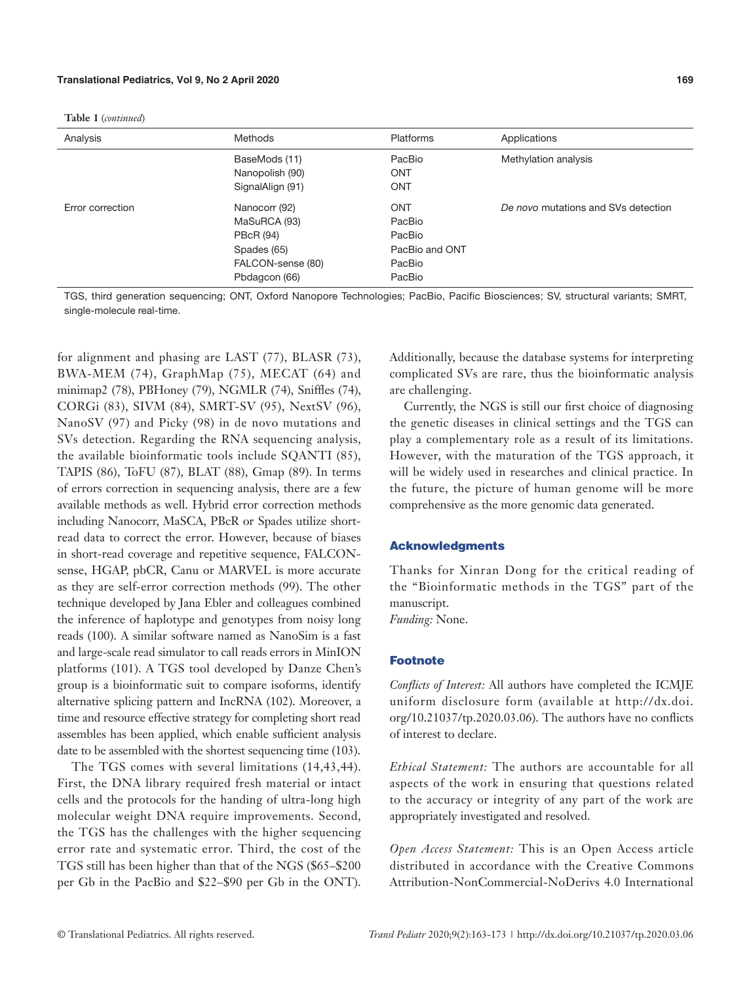**Table 1** (*continued*)

| Analysis         | <b>Methods</b>    | <b>Platforms</b> | Applications                        |
|------------------|-------------------|------------------|-------------------------------------|
|                  | BaseMods (11)     | PacBio           | Methylation analysis                |
|                  | Nanopolish (90)   | <b>ONT</b>       |                                     |
|                  | SignalAlign (91)  | <b>ONT</b>       |                                     |
| Error correction | Nanocorr (92)     | <b>ONT</b>       | De novo mutations and SVs detection |
|                  | MaSuRCA (93)      | PacBio           |                                     |
|                  | <b>PBcR (94)</b>  | PacBio           |                                     |
|                  | Spades (65)       | PacBio and ONT   |                                     |
|                  | FALCON-sense (80) | PacBio           |                                     |
|                  | Pbdagcon (66)     | PacBio           |                                     |

TGS, third generation sequencing; ONT, Oxford Nanopore Technologies; PacBio, Pacific Biosciences; SV, structural variants; SMRT, single-molecule real-time.

for alignment and phasing are LAST (77), BLASR (73), BWA-MEM (74), GraphMap (75), MECAT (64) and minimap2 (78), PBHoney (79), NGMLR (74), Sniffles (74), CORGi (83), SIVM (84), SMRT-SV (95), NextSV (96), NanoSV (97) and Picky (98) in de novo mutations and SVs detection. Regarding the RNA sequencing analysis, the available bioinformatic tools include SQANTI (85), TAPIS (86), ToFU (87), BLAT (88), Gmap (89). In terms of errors correction in sequencing analysis, there are a few available methods as well. Hybrid error correction methods including Nanocorr, MaSCA, PBcR or Spades utilize shortread data to correct the error. However, because of biases in short-read coverage and repetitive sequence, FALCONsense, HGAP, pbCR, Canu or MARVEL is more accurate as they are self-error correction methods (99). The other technique developed by Jana Ebler and colleagues combined the inference of haplotype and genotypes from noisy long reads (100). A similar software named as NanoSim is a fast and large-scale read simulator to call reads errors in MinION platforms (101). A TGS tool developed by Danze Chen's group is a bioinformatic suit to compare isoforms, identify alternative splicing pattern and IncRNA (102). Moreover, a time and resource effective strategy for completing short read assembles has been applied, which enable sufficient analysis date to be assembled with the shortest sequencing time (103).

The TGS comes with several limitations (14,43,44). First, the DNA library required fresh material or intact cells and the protocols for the handing of ultra-long high molecular weight DNA require improvements. Second, the TGS has the challenges with the higher sequencing error rate and systematic error. Third, the cost of the TGS still has been higher than that of the NGS (\$65–\$200 per Gb in the PacBio and \$22–\$90 per Gb in the ONT).

Additionally, because the database systems for interpreting complicated SVs are rare, thus the bioinformatic analysis are challenging.

Currently, the NGS is still our first choice of diagnosing the genetic diseases in clinical settings and the TGS can play a complementary role as a result of its limitations. However, with the maturation of the TGS approach, it will be widely used in researches and clinical practice. In the future, the picture of human genome will be more comprehensive as the more genomic data generated.

#### Acknowledgments

Thanks for Xinran Dong for the critical reading of the "Bioinformatic methods in the TGS" part of the manuscript.

*Funding:* None.

#### Footnote

*Conflicts of Interest:* All authors have completed the ICMJE uniform disclosure form (available at [http://dx.doi.](http://dx.doi.org/10.21037/tp.2020.03.06) [org/10.21037/tp.2020.03.06](http://dx.doi.org/10.21037/tp.2020.03.06)). The authors have no conflicts of interest to declare.

*Ethical Statement:* The authors are accountable for all aspects of the work in ensuring that questions related to the accuracy or integrity of any part of the work are appropriately investigated and resolved.

*Open Access Statement:* This is an Open Access article distributed in accordance with the Creative Commons Attribution-NonCommercial-NoDerivs 4.0 International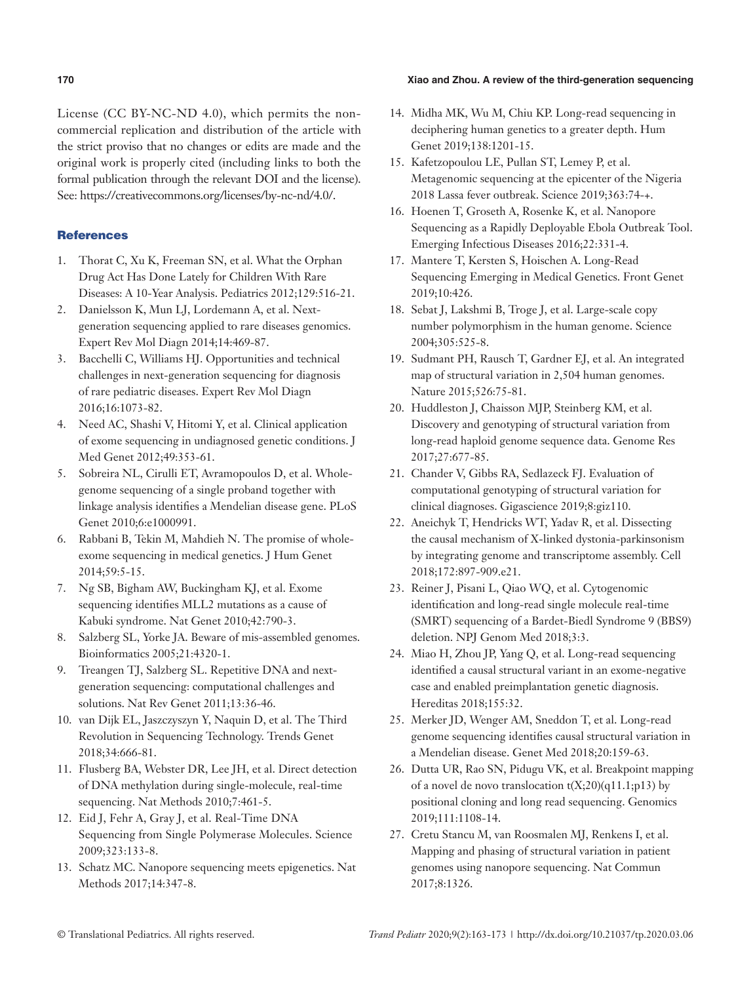#### **170 Xiao and Zhou. A review of the third-generation sequencing**

License (CC BY-NC-ND 4.0), which permits the noncommercial replication and distribution of the article with the strict proviso that no changes or edits are made and the original work is properly cited (including links to both the formal publication through the relevant DOI and the license). See: https://creativecommons.org/licenses/by-nc-nd/4.0/.

### **References**

- 1. Thorat C, Xu K, Freeman SN, et al. What the Orphan Drug Act Has Done Lately for Children With Rare Diseases: A 10-Year Analysis. Pediatrics 2012;129:516-21.
- 2. Danielsson K, Mun LJ, Lordemann A, et al. Nextgeneration sequencing applied to rare diseases genomics. Expert Rev Mol Diagn 2014;14:469-87.
- 3. Bacchelli C, Williams HJ. Opportunities and technical challenges in next-generation sequencing for diagnosis of rare pediatric diseases. Expert Rev Mol Diagn 2016;16:1073-82.
- 4. Need AC, Shashi V, Hitomi Y, et al. Clinical application of exome sequencing in undiagnosed genetic conditions. J Med Genet 2012;49:353-61.
- 5. Sobreira NL, Cirulli ET, Avramopoulos D, et al. Wholegenome sequencing of a single proband together with linkage analysis identifies a Mendelian disease gene. PLoS Genet 2010;6:e1000991.
- 6. Rabbani B, Tekin M, Mahdieh N. The promise of wholeexome sequencing in medical genetics. J Hum Genet 2014;59:5-15.
- 7. Ng SB, Bigham AW, Buckingham KJ, et al. Exome sequencing identifies MLL2 mutations as a cause of Kabuki syndrome. Nat Genet 2010;42:790-3.
- 8. Salzberg SL, Yorke JA. Beware of mis-assembled genomes. Bioinformatics 2005;21:4320-1.
- 9. Treangen TJ, Salzberg SL. Repetitive DNA and nextgeneration sequencing: computational challenges and solutions. Nat Rev Genet 2011;13:36-46.
- 10. van Dijk EL, Jaszczyszyn Y, Naquin D, et al. The Third Revolution in Sequencing Technology. Trends Genet 2018;34:666-81.
- 11. Flusberg BA, Webster DR, Lee JH, et al. Direct detection of DNA methylation during single-molecule, real-time sequencing. Nat Methods 2010;7:461-5.
- 12. Eid J, Fehr A, Gray J, et al. Real-Time DNA Sequencing from Single Polymerase Molecules. Science 2009;323:133-8.
- 13. Schatz MC. Nanopore sequencing meets epigenetics. Nat Methods 2017;14:347-8.
- 14. Midha MK, Wu M, Chiu KP. Long-read sequencing in deciphering human genetics to a greater depth. Hum Genet 2019;138:1201-15.
- 15. Kafetzopoulou LE, Pullan ST, Lemey P, et al. Metagenomic sequencing at the epicenter of the Nigeria 2018 Lassa fever outbreak. Science 2019;363:74-+.
- 16. Hoenen T, Groseth A, Rosenke K, et al. Nanopore Sequencing as a Rapidly Deployable Ebola Outbreak Tool. Emerging Infectious Diseases 2016;22:331-4.
- 17. Mantere T, Kersten S, Hoischen A. Long-Read Sequencing Emerging in Medical Genetics. Front Genet 2019;10:426.
- 18. Sebat J, Lakshmi B, Troge J, et al. Large-scale copy number polymorphism in the human genome. Science 2004;305:525-8.
- 19. Sudmant PH, Rausch T, Gardner EJ, et al. An integrated map of structural variation in 2,504 human genomes. Nature 2015;526:75-81.
- 20. Huddleston J, Chaisson MJP, Steinberg KM, et al. Discovery and genotyping of structural variation from long-read haploid genome sequence data. Genome Res 2017;27:677-85.
- 21. Chander V, Gibbs RA, Sedlazeck FJ. Evaluation of computational genotyping of structural variation for clinical diagnoses. Gigascience 2019;8:giz110.
- 22. Aneichyk T, Hendricks WT, Yadav R, et al. Dissecting the causal mechanism of X-linked dystonia-parkinsonism by integrating genome and transcriptome assembly. Cell 2018;172:897-909.e21.
- 23. Reiner J, Pisani L, Qiao WQ, et al. Cytogenomic identification and long-read single molecule real-time (SMRT) sequencing of a Bardet-Biedl Syndrome 9 (BBS9) deletion. NPJ Genom Med 2018;3:3.
- 24. Miao H, Zhou JP, Yang Q, et al. Long-read sequencing identified a causal structural variant in an exome-negative case and enabled preimplantation genetic diagnosis. Hereditas 2018;155:32.
- 25. Merker JD, Wenger AM, Sneddon T, et al. Long-read genome sequencing identifies causal structural variation in a Mendelian disease. Genet Med 2018;20:159-63.
- 26. Dutta UR, Rao SN, Pidugu VK, et al. Breakpoint mapping of a novel de novo translocation  $t(X;20)(q11.1;p13)$  by positional cloning and long read sequencing. Genomics 2019;111:1108-14.
- 27. Cretu Stancu M, van Roosmalen MJ, Renkens I, et al. Mapping and phasing of structural variation in patient genomes using nanopore sequencing. Nat Commun 2017;8:1326.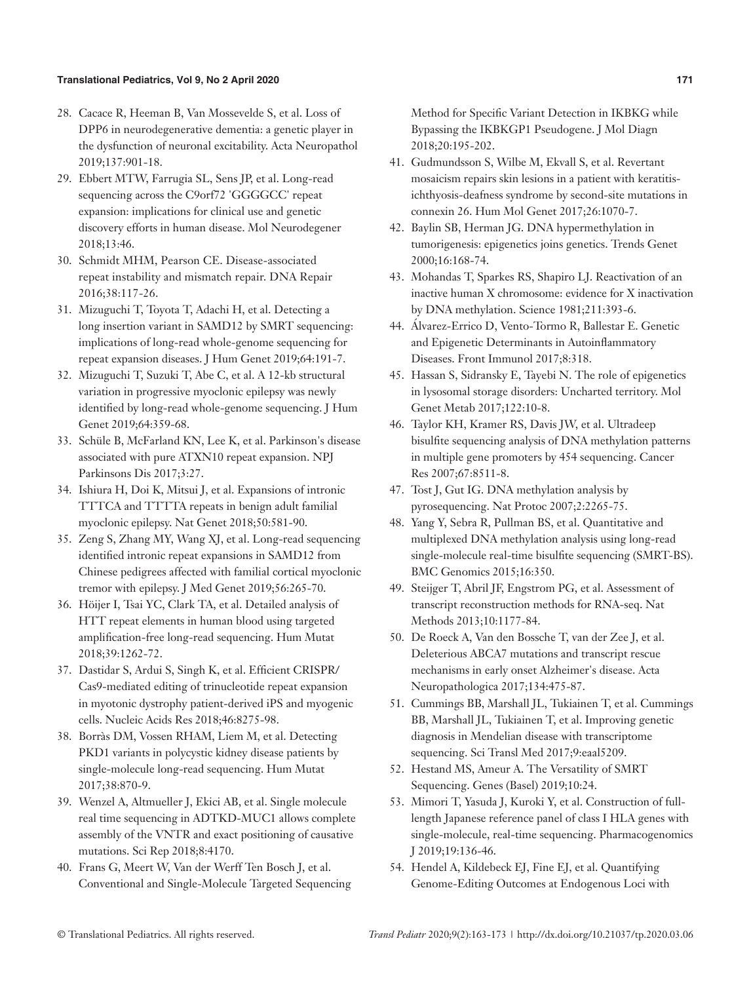#### **Translational Pediatrics, Vol 9, No 2 April 2020 171**

- 28. Cacace R, Heeman B, Van Mossevelde S, et al. Loss of DPP6 in neurodegenerative dementia: a genetic player in the dysfunction of neuronal excitability. Acta Neuropathol 2019;137:901-18.
- 29. Ebbert MTW, Farrugia SL, Sens JP, et al. Long-read sequencing across the C9orf72 'GGGGCC' repeat expansion: implications for clinical use and genetic discovery efforts in human disease. Mol Neurodegener 2018;13:46.
- 30. Schmidt MHM, Pearson CE. Disease-associated repeat instability and mismatch repair. DNA Repair 2016;38:117-26.
- 31. Mizuguchi T, Toyota T, Adachi H, et al. Detecting a long insertion variant in SAMD12 by SMRT sequencing: implications of long-read whole-genome sequencing for repeat expansion diseases. J Hum Genet 2019;64:191-7.
- 32. Mizuguchi T, Suzuki T, Abe C, et al. A 12-kb structural variation in progressive myoclonic epilepsy was newly identified by long-read whole-genome sequencing. J Hum Genet 2019;64:359-68.
- 33. Schüle B, McFarland KN, Lee K, et al. Parkinson's disease associated with pure ATXN10 repeat expansion. NPJ Parkinsons Dis 2017;3:27.
- 34. Ishiura H, Doi K, Mitsui J, et al. Expansions of intronic TTTCA and TTTTA repeats in benign adult familial myoclonic epilepsy. Nat Genet 2018;50:581-90.
- 35. Zeng S, Zhang MY, Wang XJ, et al. Long-read sequencing identified intronic repeat expansions in SAMD12 from Chinese pedigrees affected with familial cortical myoclonic tremor with epilepsy. J Med Genet 2019;56:265-70.
- 36. Höijer I, Tsai YC, Clark TA, et al. Detailed analysis of HTT repeat elements in human blood using targeted amplification-free long-read sequencing. Hum Mutat 2018;39:1262-72.
- 37. Dastidar S, Ardui S, Singh K, et al. Efficient CRISPR/ Cas9-mediated editing of trinucleotide repeat expansion in myotonic dystrophy patient-derived iPS and myogenic cells. Nucleic Acids Res 2018;46:8275-98.
- 38. Borràs DM, Vossen RHAM, Liem M, et al. Detecting PKD1 variants in polycystic kidney disease patients by single-molecule long-read sequencing. Hum Mutat 2017;38:870-9.
- 39. Wenzel A, Altmueller J, Ekici AB, et al. Single molecule real time sequencing in ADTKD-MUC1 allows complete assembly of the VNTR and exact positioning of causative mutations. Sci Rep 2018;8:4170.
- 40. Frans G, Meert W, Van der Werff Ten Bosch J, et al. Conventional and Single-Molecule Targeted Sequencing

Method for Specific Variant Detection in IKBKG while Bypassing the IKBKGP1 Pseudogene. J Mol Diagn 2018;20:195-202.

- 41. Gudmundsson S, Wilbe M, Ekvall S, et al. Revertant mosaicism repairs skin lesions in a patient with keratitisichthyosis-deafness syndrome by second-site mutations in connexin 26. Hum Mol Genet 2017;26:1070-7.
- 42. Baylin SB, Herman JG. DNA hypermethylation in tumorigenesis: epigenetics joins genetics. Trends Genet 2000;16:168-74.
- 43. Mohandas T, Sparkes RS, Shapiro LJ. Reactivation of an inactive human X chromosome: evidence for X inactivation by DNA methylation. Science 1981;211:393-6.
- 44. Álvarez-Errico D, Vento-Tormo R, Ballestar E. Genetic and Epigenetic Determinants in Autoinflammatory Diseases. Front Immunol 2017;8:318.
- 45. Hassan S, Sidransky E, Tayebi N. The role of epigenetics in lysosomal storage disorders: Uncharted territory. Mol Genet Metab 2017;122:10-8.
- 46. Taylor KH, Kramer RS, Davis JW, et al. Ultradeep bisulfite sequencing analysis of DNA methylation patterns in multiple gene promoters by 454 sequencing. Cancer Res 2007;67:8511-8.
- 47. Tost J, Gut IG. DNA methylation analysis by pyrosequencing. Nat Protoc 2007;2:2265-75.
- 48. Yang Y, Sebra R, Pullman BS, et al. Quantitative and multiplexed DNA methylation analysis using long-read single-molecule real-time bisulfite sequencing (SMRT-BS). BMC Genomics 2015;16:350.
- 49. Steijger T, Abril JF, Engstrom PG, et al. Assessment of transcript reconstruction methods for RNA-seq. Nat Methods 2013;10:1177-84.
- 50. De Roeck A, Van den Bossche T, van der Zee J, et al. Deleterious ABCA7 mutations and transcript rescue mechanisms in early onset Alzheimer's disease. Acta Neuropathologica 2017;134:475-87.
- 51. Cummings BB, Marshall JL, Tukiainen T, et al. Cummings BB, Marshall JL, Tukiainen T, et al. Improving genetic diagnosis in Mendelian disease with transcriptome sequencing. Sci Transl Med 2017;9:eaal5209.
- 52. Hestand MS, Ameur A. The Versatility of SMRT Sequencing. Genes (Basel) 2019;10:24.
- 53. Mimori T, Yasuda J, Kuroki Y, et al. Construction of fulllength Japanese reference panel of class I HLA genes with single-molecule, real-time sequencing. Pharmacogenomics J 2019;19:136-46.
- 54. Hendel A, Kildebeck EJ, Fine EJ, et al. Quantifying Genome-Editing Outcomes at Endogenous Loci with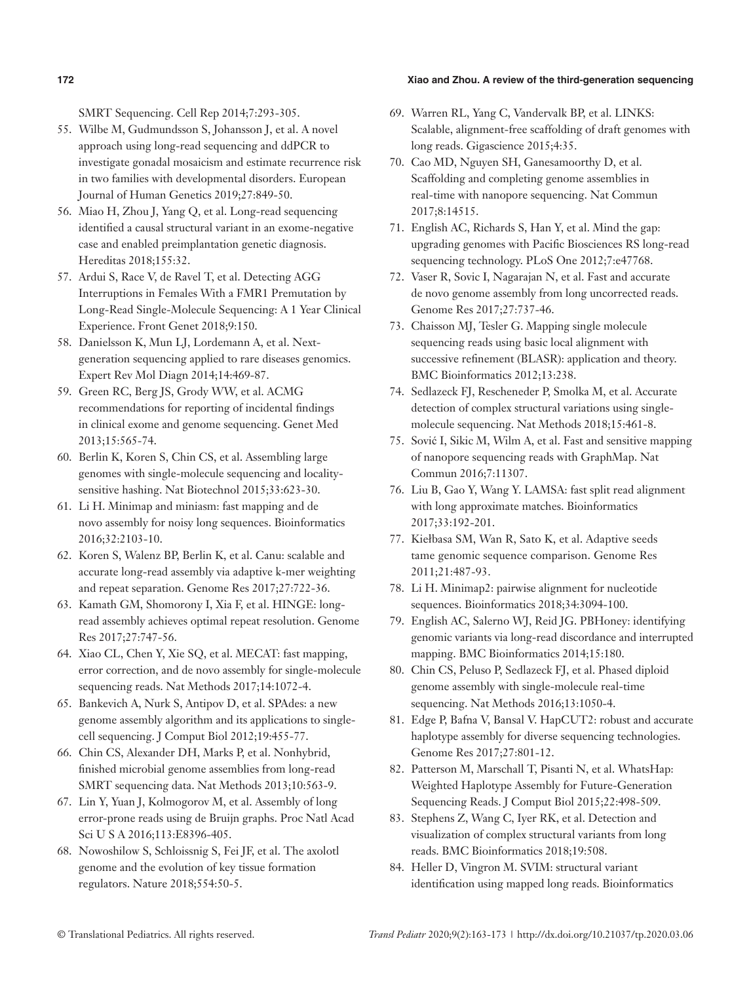#### **172 Xiao and Zhou. A review of the third-generation sequencing**

SMRT Sequencing. Cell Rep 2014;7:293-305.

- 55. Wilbe M, Gudmundsson S, Johansson J, et al. A novel approach using long-read sequencing and ddPCR to investigate gonadal mosaicism and estimate recurrence risk in two families with developmental disorders. European Journal of Human Genetics 2019;27:849-50.
- 56. Miao H, Zhou J, Yang Q, et al. Long-read sequencing identified a causal structural variant in an exome-negative case and enabled preimplantation genetic diagnosis. Hereditas 2018;155:32.
- 57. Ardui S, Race V, de Ravel T, et al. Detecting AGG Interruptions in Females With a FMR1 Premutation by Long-Read Single-Molecule Sequencing: A 1 Year Clinical Experience. Front Genet 2018;9:150.
- 58. Danielsson K, Mun LJ, Lordemann A, et al. Nextgeneration sequencing applied to rare diseases genomics. Expert Rev Mol Diagn 2014;14:469-87.
- 59. Green RC, Berg JS, Grody WW, et al. ACMG recommendations for reporting of incidental findings in clinical exome and genome sequencing. Genet Med 2013;15:565-74.
- 60. Berlin K, Koren S, Chin CS, et al. Assembling large genomes with single-molecule sequencing and localitysensitive hashing. Nat Biotechnol 2015;33:623-30.
- 61. Li H. Minimap and miniasm: fast mapping and de novo assembly for noisy long sequences. Bioinformatics 2016;32:2103-10.
- 62. Koren S, Walenz BP, Berlin K, et al. Canu: scalable and accurate long-read assembly via adaptive k-mer weighting and repeat separation. Genome Res 2017;27:722-36.
- 63. Kamath GM, Shomorony I, Xia F, et al. HINGE: longread assembly achieves optimal repeat resolution. Genome Res 2017;27:747-56.
- 64. Xiao CL, Chen Y, Xie SQ, et al. MECAT: fast mapping, error correction, and de novo assembly for single-molecule sequencing reads. Nat Methods 2017;14:1072-4.
- 65. Bankevich A, Nurk S, Antipov D, et al. SPAdes: a new genome assembly algorithm and its applications to singlecell sequencing. J Comput Biol 2012;19:455-77.
- 66. Chin CS, Alexander DH, Marks P, et al. Nonhybrid, finished microbial genome assemblies from long-read SMRT sequencing data. Nat Methods 2013;10:563-9.
- 67. Lin Y, Yuan J, Kolmogorov M, et al. Assembly of long error-prone reads using de Bruijn graphs. Proc Natl Acad Sci U S A 2016;113:E8396-405.
- 68. Nowoshilow S, Schloissnig S, Fei JF, et al. The axolotl genome and the evolution of key tissue formation regulators. Nature 2018;554:50-5.
- 69. Warren RL, Yang C, Vandervalk BP, et al. LINKS: Scalable, alignment-free scaffolding of draft genomes with long reads. Gigascience 2015;4:35.
- 70. Cao MD, Nguyen SH, Ganesamoorthy D, et al. Scaffolding and completing genome assemblies in real-time with nanopore sequencing. Nat Commun 2017;8:14515.
- 71. English AC, Richards S, Han Y, et al. Mind the gap: upgrading genomes with Pacific Biosciences RS long-read sequencing technology. PLoS One 2012;7:e47768.
- 72. Vaser R, Sovic I, Nagarajan N, et al. Fast and accurate de novo genome assembly from long uncorrected reads. Genome Res 2017;27:737-46.
- 73. Chaisson MJ, Tesler G. Mapping single molecule sequencing reads using basic local alignment with successive refinement (BLASR): application and theory. BMC Bioinformatics 2012;13:238.
- 74. Sedlazeck FJ, Rescheneder P, Smolka M, et al. Accurate detection of complex structural variations using singlemolecule sequencing. Nat Methods 2018;15:461-8.
- 75. Sović I, Sikic M, Wilm A, et al. Fast and sensitive mapping of nanopore sequencing reads with GraphMap. Nat Commun 2016;7:11307.
- 76. Liu B, Gao Y, Wang Y. LAMSA: fast split read alignment with long approximate matches. Bioinformatics 2017;33:192-201.
- 77. Kiełbasa SM, Wan R, Sato K, et al. Adaptive seeds tame genomic sequence comparison. Genome Res 2011;21:487-93.
- 78. Li H. Minimap2: pairwise alignment for nucleotide sequences. Bioinformatics 2018;34:3094-100.
- 79. English AC, Salerno WJ, Reid JG. PBHoney: identifying genomic variants via long-read discordance and interrupted mapping. BMC Bioinformatics 2014;15:180.
- 80. Chin CS, Peluso P, Sedlazeck FJ, et al. Phased diploid genome assembly with single-molecule real-time sequencing. Nat Methods 2016;13:1050-4.
- 81. Edge P, Bafna V, Bansal V. HapCUT2: robust and accurate haplotype assembly for diverse sequencing technologies. Genome Res 2017;27:801-12.
- 82. Patterson M, Marschall T, Pisanti N, et al. WhatsHap: Weighted Haplotype Assembly for Future-Generation Sequencing Reads. J Comput Biol 2015;22:498-509.
- 83. Stephens Z, Wang C, Iyer RK, et al. Detection and visualization of complex structural variants from long reads. BMC Bioinformatics 2018;19:508.
- 84. Heller D, Vingron M. SVIM: structural variant identification using mapped long reads. Bioinformatics